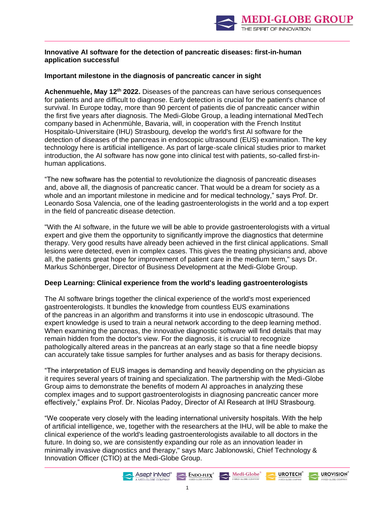

# **Innovative AI software for the detection of pancreatic diseases: first-in-human application successful**

# **Important milestone in the diagnosis of pancreatic cancer in sight**

**Achenmuehle, May 12th 2022.** Diseases of the pancreas can have serious consequences for patients and are difficult to diagnose. Early detection is crucial for the patient's chance of survival. In Europe today, more than 90 percent of patients die of pancreatic cancer within the first five years after diagnosis. The Medi-Globe Group, a leading international MedTech company based in Achenmühle, Bavaria, will, in cooperation with the French Institut Hospitalo-Universitaire (IHU) Strasbourg, develop the world's first AI software for the detection of diseases of the pancreas in endoscopic ultrasound (EUS) examination. The key technology here is artificial intelligence. As part of large-scale clinical studies prior to market introduction, the AI software has now gone into clinical test with patients, so-called first-inhuman applications.

"The new software has the potential to revolutionize the diagnosis of pancreatic diseases and, above all, the diagnosis of pancreatic cancer. That would be a dream for society as a whole and an important milestone in medicine and for medical technology," says Prof. Dr. Leonardo Sosa Valencia, one of the leading gastroenterologists in the world and a top expert in the field of pancreatic disease detection.

"With the AI software, in the future we will be able to provide gastroenterologists with a virtual expert and give them the opportunity to significantly improve the diagnostics that determine therapy. Very good results have already been achieved in the first clinical applications. Small lesions were detected, even in complex cases. This gives the treating physicians and, above all, the patients great hope for improvement of patient care in the medium term," says Dr. Markus Schönberger, Director of Business Development at the Medi-Globe Group.

# **Deep Learning: Clinical experience from the world's leading gastroenterologists**

The AI software brings together the clinical experience of the world's most experienced gastroenterologists. It bundles the knowledge from countless EUS examinations of the pancreas in an algorithm and transforms it into use in endoscopic ultrasound. The expert knowledge is used to train a neural network according to the deep learning method. When examining the pancreas, the innovative diagnostic software will find details that may remain hidden from the doctor's view. For the diagnosis, it is crucial to recognize pathologically altered areas in the pancreas at an early stage so that a fine needle biopsy can accurately take tissue samples for further analyses and as basis for therapy decisions.

"The interpretation of EUS images is demanding and heavily depending on the physician as it requires several years of training and specialization. The partnership with the Medi-Globe Group aims to demonstrate the benefits of modern AI approaches in analyzing these complex images and to support gastroenterologists in diagnosing pancreatic cancer more effectively," explains Prof. Dr. Nicolas Padoy, Director of AI Research at IHU Strasbourg.

"We cooperate very closely with the leading international university hospitals. With the help of artificial intelligence, we, together with the researchers at the IHU, will be able to make the clinical experience of the world's leading gastroenterologists available to all doctors in the future. In doing so, we are consistently expanding our role as an innovation leader in minimally invasive diagnostics and therapy," says Marc Jablonowski, Chief Technology & Innovation Officer (CTIO) at the Medi-Globe Group.